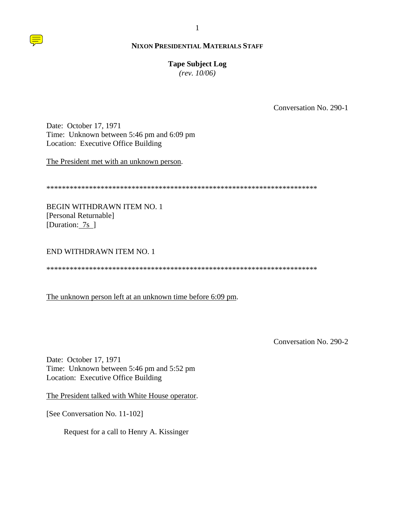## **Tape Subject Log**

 $(rev. 10/06)$ 

Conversation No. 290-1

Date: October 17, 1971 Time: Unknown between 5:46 pm and 6:09 pm Location: Executive Office Building

The President met with an unknown person.

**BEGIN WITHDRAWN ITEM NO. 1** [Personal Returnable] [Duration: 7s ]

### END WITHDRAWN ITEM NO. 1

## The unknown person left at an unknown time before 6:09 pm.

Conversation No. 290-2

Date: October 17, 1971 Time: Unknown between 5:46 pm and 5:52 pm Location: Executive Office Building

The President talked with White House operator.

[See Conversation No. 11-102]

Request for a call to Henry A. Kissinger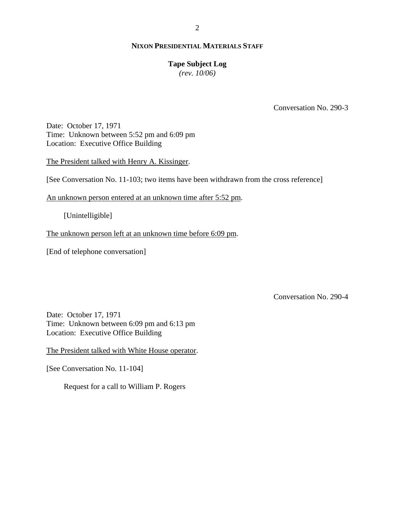## **Tape Subject Log**

*(rev. 10/06)*

Conversation No. 290-3

Date: October 17, 1971 Time: Unknown between 5:52 pm and 6:09 pm Location: Executive Office Building

The President talked with Henry A. Kissinger.

[See Conversation No. 11-103; two items have been withdrawn from the cross reference]

An unknown person entered at an unknown time after 5:52 pm.

[Unintelligible]

The unknown person left at an unknown time before 6:09 pm.

[End of telephone conversation]

Conversation No. 290-4

Date: October 17, 1971 Time: Unknown between 6:09 pm and 6:13 pm Location: Executive Office Building

The President talked with White House operator.

[See Conversation No. 11-104]

Request for a call to William P. Rogers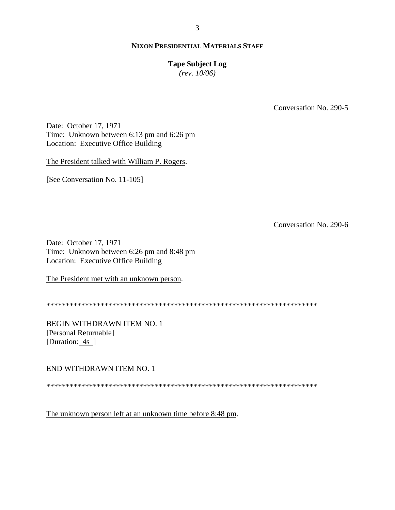### **Tape Subject Log**

 $(rev. 10/06)$ 

Conversation No. 290-5

Date: October 17, 1971 Time: Unknown between 6:13 pm and 6:26 pm Location: Executive Office Building

The President talked with William P. Rogers.

[See Conversation No. 11-105]

Conversation No. 290-6

Date: October 17, 1971 Time: Unknown between 6:26 pm and 8:48 pm Location: Executive Office Building

The President met with an unknown person.

**BEGIN WITHDRAWN ITEM NO. 1** [Personal Returnable] [Duration:  $4s$ ]

END WITHDRAWN ITEM NO. 1

The unknown person left at an unknown time before 8:48 pm.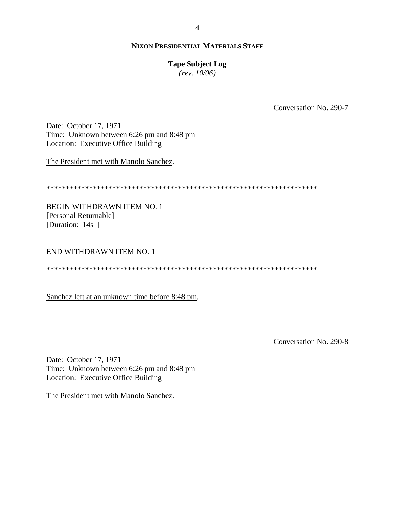## **Tape Subject Log**

 $(rev. 10/06)$ 

Conversation No. 290-7

Date: October 17, 1971 Time: Unknown between 6:26 pm and 8:48 pm Location: Executive Office Building

The President met with Manolo Sanchez.

**BEGIN WITHDRAWN ITEM NO. 1** [Personal Returnable] [Duration: 14s ]

# **END WITHDRAWN ITEM NO. 1**

Sanchez left at an unknown time before 8:48 pm.

Conversation No. 290-8

Date: October 17, 1971 Time: Unknown between 6:26 pm and 8:48 pm Location: Executive Office Building

The President met with Manolo Sanchez.